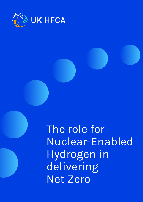

**UK Hydrogen and Fuel Cell**  The role for Nuclear-Enabled Hydrogen in delivering Net Zero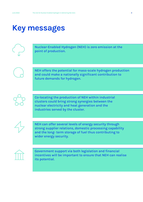## **Key messages**



Nuclear-Enabled Hydrogen (NEH) is zero emission at the point of production.



NEH offers the potential for mass-scale hydrogen production and could make a nationally significant contribution to future demands for hydrogen.



Co-locating the production of NEH within industrial clusters could bring strong synergies between the nuclear electricity and heat generation and the industries served by the cluster.



NEH can offer several levels of energy security through strong supplier relations, domestic processing capability and the long- term storage of fuel thus contributing to wider energy security.



Government support via both legislation and financial incentives will be important to ensure that NEH can realise its potential.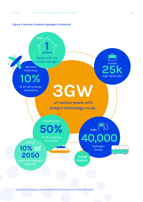#### **Figure 1: Nuclear-Enabled Hydrogen's Potential1**



<https://www.nnl.co.uk/wp-content/uploads/2021/07/Hydrogen-Round-Table-FINAL-v2.pdf>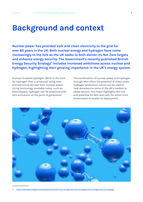## **Background and context**

**Nuclear power has provided safe and clean electricity to the grid for over 60 years in the UK. Both nuclear energy and hydrogen have come increasingly to the fore as the UK seeks to both deliver its Net Zero targets and enhance energy security. The Government's recently published British Energy Security Strategy<sup>2</sup> includes increased ambitions across nuclear and hydrogen, highlighting their growing importance in the UK's energy system.** 

Nuclear-Enabled Hydrogen (NEH) is the term for hydrogen that is produced using heat and electricity derived from nuclear power. Using technology available today, such as electrolysers, hydrogen can be produced with zero emissions at the point of generation.

The combination of nuclear power and hydrogen through NEH offers the potential of mass-scale hydrogen production, which can be used to help decarbonise some of the UK's hardest to abate sectors. This Paper highlights the role and potential for NEH and calls for action from Government to enable its deployment.



2 https://www.gov.uk/government/publications/british-energy-security-strategy/british-energy-security-strategy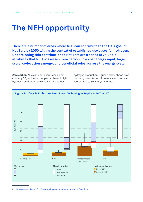# **The NEH opportunity**

**There are a number of areas where NEH can contribute to the UK's goal of Net Zero by 2050 within the context of established use cases for hydrogen. Underpinning this contribution to Net Zero are a series of valuable attributes that NEH possesses: zero carbon; low-cost energy input; large scale; co-location synergy; and beneficial roles accross the energy system.** 

**Zero carbon:** Nuclear plant operations do not emit any CO $_{\tiny 2}$  and, when coupled with electrolytic hydrogen production the result is zero carbon

hydrogen production. Figure 2 below shows how the life cycle emissions from nuclear power are comparable to Solar PV, and Wind.



3 https://www.carbonbrief.org/solar-wind-nuclear-amazingly-low-carbon-footprints/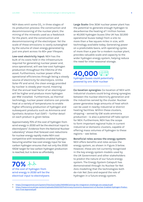NEH does emit some CO<sub>2</sub> in three stages of its production process: the construction and decommissioning of the nuclear plant; the mining of the minerals used as a feedstock for the plant; and the construction and decommissioning of the electrolyser. Yet the scale of these emissions is vastly outweighed by the volume of clean energy generated by just one plant across its 60+ year lifespan.

**Low-cost electricity input:** NEH has the bulk of its costs held in the infrastructure required for generating nuclear power and, once operational, will see low-cost hydrogen production throughout the lifetime of the asset. Furthermore, nuclear power offers operational efficiencies through being a steady source of electricity for electrolysis. Unlike Solar-PV and wind, the clean energy provided by nuclear is steady year-round, meaning that the annual load factor of an electrolyser will be higher and produce more hydrogen per MW installed. Furthermore, as thermal technology, nuclear power stations can provide heat at a variety of temperatures to enable higher efficiency production of hydrogen and subsequent products such as Ammonia and Synthetic Aviation Fuel (SAF) – further detail on each product is given below.

Approximately 70% of the cost of hydrogen from wind energy in 2030 will be the electrical input to electrolysers<sup>4</sup>. Evidence from the National Nuclear Laboratory<sup>5</sup> shows that forecast cost reductions for nuclear energy rapidly make NEH cost competitive with renewables enabled hydrogen. Securing another low-cost energy input for low carbon hydrogen ensures that not only the 2030 10GW target for low carbon hydrogen production is reached, but is done so affordably.

### **70%**  of the cost of hydrogen from wind energy in 2030 will be the electrical input to electrolysers

**Large Scale:** One 3GW nuclear power plant has the potential to generate enough hydrogen to decarbonise the heating of 1 million homes or 40,000 hydrogen buses (the UK has 32,000 operational buses today) from a site no more than a few square miles in size, with technology available today. Generating power on a predictable basis, with operating cycles of more than a year for a modern nuclear plant, provides valuable scale and capacity to the wider hydrogen energy system, helping reduce the need for inter-seasonal storage.

### **40,000** hydrogen buses could potentially powered by one 3GW nuclear

**Co-location synergies:** Co-location of NEH with industrial clusters could bring strong synergies between the nuclear electricity generation and the industries served by the cluster. Nuclear power generates large amounts of heat which can be used in nearby industrial or district heating facilities. Within these clusters, shipping – served by GW scale ammonia production - is also a potential off-take option for NEH. Furthermore, NEH has the scope to form important regional hubs in current industrial or domestic clusters, capable of offering mass volumes of hydrogen to these regions – see below.

### **Beneficial roles across the energy system:**

NEH offers benefits and roles across the energy system, as shown in Figure 3 below. However, these are not currently recognised in the key energy system models used by the UK Government and other stakeholders to predict the nature of our future energy system. The Energy System Catapult has demonstrated through its Nuclear for Net Zero modelling that the technologies both de-risk Net Zero and expand the role of hydrogen in a future energy system.

5 [https://www.nnl.co.uk/wp-content/uploads/2022/03/Preliminary-Economic-Assessment-of-Nuclear-Enabled-Hydrogen-Produc](https://www.nnl.co.uk/wp-content/uploads/2022/03/Preliminary-Economic-Assessment-of-Nuclear-Enabled-Hydrogen-Production-Final-Approved.pdf)[tion-Final-Approved.pdf](https://www.nnl.co.uk/wp-content/uploads/2022/03/Preliminary-Economic-Assessment-of-Nuclear-Enabled-Hydrogen-Production-Final-Approved.pdf)

<sup>4</sup> https://energycentral.com/system/files/ece/nodes/440406/solving-the-integration-challenge-ore-catapult.pdf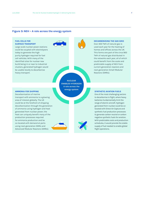#### **Figure 3: NEH – A role across the energy system**

#### **FUEL CELLS FOR SURFACE TRANSPORT**

Large scale nuclear power stations could be coupled with electrolysers today to generate the high purity hydrogen required for fuel cell vehicles. With many of the identified sites for nuclear new build being in or near to industrial clusters, generated hydrogen would be usable locally to decarbonise heavy transport.

> **NUCLEAR ENABLED HYDROGEN A role across the energy system**

### **DECARBONISING THE GAS GRID**

Over 300 TWh of natural gas is used each year for the heating of homes and offices across the UK. This forms one part of the circa 900 TWh of natural gas distributed in the networks each year, all of which could benefit from the scale and predictable supply of NEH from current generation reactors and next generation Small Modular Reactors (SMRs).

#### **AMMONIA FOR SHIPPING**

Decarbonisation of marine transport with ammonia is a growing area of interest globally. The UK could be at the forefront of shipping decarbonisation through the generation of ammonia using hydrogen and heat generated from nuclear power; the heat can uniquely benefit many of the production processes required for ammonia production and be co-located with demand at ports using next generation SMRs and Advanced Modular Reactors (AMRs).

#### **SYNTHETIC AVIATION FUELS**

One of the most challenging sectors to decarbonise is flight, where heavy batteries fundamentally limit the range of electric aircraft. Hydrogen generated from nuclear could be colocated with Direct Air Capture and synthetic fuel production processes to generate carbon neutral or carbon negative synthetic fuels for aviation. With predictable costs and production schedules, it would provide the stable supply of fuel needed to enable global flight operations.

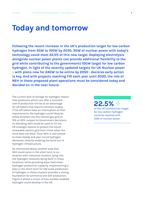## **Today and tomorrow**

**Following the recent increase in the UK's production target for low carbon hydrogen from 5GW to 10GW by 2030, 3GW of nuclear power with today's technology could meet 22.5% of this new target. Deploying electrolysis alongside nuclear power plants can provide additional flexibility to the grid while contributing to the governments 10GW target for low carbon hydrogen. In light of the recently updated targets for UK Nuclear power – with plans now for 24GW to be online by 2050 - decisive early action is key. And with projects reaching FID each year until 2030, the role of NEH in these proposed plant operations must be considered today and decided on in the near future.** 

The current lack of storage for hydrogen means that producers which can offer a constant rate of production will be at an advantage for off-takers that require constant supply. If the off-takers have an interruption to their requirements, the hydrogen could likely be safely diverted into the natural gas grid at 10% or 20%, subject to Government decisions on blending. NEH could be used to fill the UK strategic reserve to protect the future renewable electric grid from times when the wind does not blow. Thus, NEH is well placed to meet steady and year-round hydrogen demands, directly enabling the build out of hydrogen infrastructure.

As mentioned above, another area that NEH could serve in the short term is colocation with industrial clusters, tying into the hydrogen networks being built in these locations, while providing base-load clean hydrogen production capacity. Implementing a plan in the short-term for GW scale production of hydrogen in these clusters provides a strong foundation for ammonia and SAF production. Figure 4 shows a vision of how nuclear-enabled hydrogen could develop in the UK.

**22.5%**  of the UK's production target for low carbon hydrogen could be reached with 3GW of nuclear power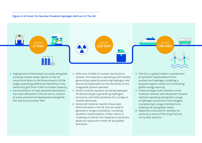#### **Figure 4: A Vision For Nuclear-Enabled Hydrogen Roll-out In The UK**



- $\rightarrow$  Deployment of electrolysis at scale alongside existing nuclear power plants in the UK could contribute to the Government's 10 GW target, providing additional flexibility to the electricity grid from 4 GW of nuclear capacity.
- $\rightarrow$  Demonstration of heat assisted electrolysis has been delivered in the UK and is close to at scale commercial deployment alongside the new build nuclear fleet.
- $\rightarrow$  With tens of GWs of nuclear new build on stream, the majority is operating with flexible generating capacity producing hydrogen and electricity dependant on the demands of the integrated system operator.
- $\rightarrow$  Small modular reactors are being deployed off electricity grid, generating hydrogen, ammonia, and other products for a range of market demands.
- $\rightarrow$  Advanced modular reactors have been demonstrated in the UK and are used to generate a range of products, including synthetic hydrocarbons. A fleet rollout is underway to deliver the capacity of synthetic products required to meet UK and global demands.
- $\rightarrow$  The UK is a global leader in production of synthetic hydrocarbons from nuclear and hydrogen, enabling a buoyant export market and increasing global energy security.
- $\rightarrow$  A fleet of large-scale reactors, small modular reactors and advanced modular reactors operating alongside a range of hydrogen production technologies is producing a range of products to meeting UK and global needs.
- $\rightarrow$  Capacity is assured for decades to come as a result of the long lifetime of nuclear reactors.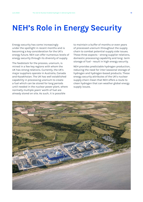# **NEH's Role in Energy Security**

Energy security has come increasingly under the spotlight in recent months and is becoming a key consideration for the UK's energy future. NEH can offer numerous levels of energy security through its diversity of supply.

The feedstock for the process, uranium, is mined in a few key regions with whom the UK has strong relations. Currently, the UK's major suppliers operate in Australia, Canada and Kazakhstan. The UK has well established capability in processing uranium to create a fuel which can be stored for long periods until needed in the nuclear power plant, where normally multiple years' worth of fuel are already stored on site. As such, it is possible

to maintain a buffer of months or even years of processed uranium throughout the supply chain to combat potential supply side issues. These three aspects - strong supplier relations, domestic processing capability and long- term storage of fuel - result in high energy security.

NEH provides predictable hydrogen production, reducing the need for inter-seasonal storage of hydrogen and hydrogen-based products. These energy security attributes of the UK's nuclear supply chain mean that NEH offers a route to clean hydrogen that can weather global energy supply issues.

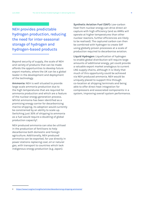NEH provides predictable hydrogen production, reducing the need for inter-seasonal storage of hydrogen and hydrogen-based products

Beyond security of supply, the scale of NEH and variety of products that can be made affords the opportunities to develop future export markets, where the UK can be a global leader in the development and deployment of the technology.

**Ammonia:** NEH is well situated to provide large scale ammonia production due to the high temperatures that are required for ammonia production and which are a feature of the nuclear energy generation process. Whilst ammonia has been identified as a promising energy carrier for decarbonising marine shipping, its adoption would currently be constrained by an ability to scale up. Switching just 30% of shipping to ammonia as a fuel would require a doubling of global production capacity<sup>6</sup>.

NEH produced ammonia can also be utilised in the production of fertilisers to help decarbonise both domestic and foreign agriculture. Additionally, NEH produced ammonia can be exported, for use directly in power stations replacing coal, oil or natural gas, with transport to countries which lack indigenous energy production (e.g. Japan).

**Synthetic Aviation Fuel (SAF):** Low-carbon heat from nuclear energy can drive direct air capture with high efficiency (and as AMRs will operate at higher temperatures than other nuclear reactors, further efficiencies are likely to be realised). The captured carbon can then be combined with hydrogen to create SAF using globally proven processes at a scale of production required to decarbonise aviation.

**Liquid Hydrogen:** Liquefication of hydrogen to enable global distribution will require large amounts of additional energy, yet could provide a valuable export market analogous to current LNG supply chains, although it is likely that much of this opportunity could be achieved via NEH produced ammonia. NEH would be uniquely placed to support this through co-location at shipping terminals and being able to offer direct heat integration for compressors and associated components in a system, improving overall system performance.

https://www.lr.org/en/insights/articles/decarbonising-shipping-ammonia/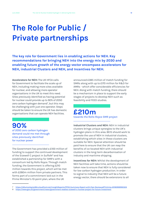# **The Role for Public / Private partnerships**

**The key role for Government lies in enabling actions for NEH. Key recommendations for bringing NEH into the energy mix by 2030 and enabling future growth of the energy vector encompass accelerators for NEH, industrial Clusters and NEH, and Incentives for NEH.**

**Accelerators for NEH:** The UK HFCA calls for Government to facilitate the scale up of NEH, including making more sites available for nuclear, and allowing more operator organisations in the UK to meet this need. Sites previously identified as having potential for nuclear could provide up to 90% of 2050 zero carbon hydrogen demand<sup>7</sup>, but this may be challenging with just one operator. Steps should be taken to ensure the UK has domestic organisations that can operate NEH facilities.

**90%**

of 2050 zero carbon hydrogen demand could me met through sites previously identified for nuclear power

The Government has provided a £100 million of funding to support the continued development of the Sizewell C project in Suffolk<sup>8</sup> and has established a partnership for SMR's with a consortium led by Rolls Royce. Through match funding, the Government is offering £210 million towards this project, which will be met with £280m million from private partners. This forms part of a commitment laid out in the Prime Minister's 10-point plan, where the UK

announced £385 million of match funding for SMRs along with up to £170 million for R&D for AMRs - which offer considerable efficiencies for NEH. Along with match funding, there should be a mechanism in place to support the early stages of projects to develop NEH such as feasibility and FEED studies.

### **£210m** towards the Rolls-Royce SMR project

**Industrial Clusters and NEH:** NEH in industrial clusters brings unique synergies to the UK's hydrogen plans in this area. BEIS should work to promote the use of NEH in industrial clusters, establishing which sites in these clusters are suitable for NEH. Special attention should be paid here to ensure that the UK can reap the benefits of co-located NEH with industrial clusters in the long-term decarbonisation of industry and maritime shipping.

**Incentives for NEH:** Whilst the development of NEH facilities will take time, actions should be taken now to ensure that NEH is fully considered for low carbon hydrogen production. In order to signal to industry that NEH will be a future energy vector, there should be extensions to all

<sup>7</sup> https://d2umxnkyjne36n.cloudfront.net/insightReports/PPSS-Summary-Report-with-Peer-Review.pdf?mtime=20160908160324

<sup>8</sup> <https://www.gov.uk/government/news/government-readies-sizewell-c-nuclear-project-for-future-investment>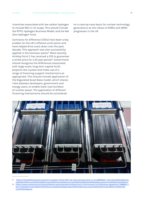incentives associated with low carbon hydrogen to include NEH in its scope. This should include the RTFO, Hydrogen Business Model, and the Net Zero Hydrogen Fund.

Contracts for difference (CfDs) have been a key enabler for the UK's offshore wind sector and have helped drive costs down over the past decade. This approach was also successfully applied in the biomass sector<sup>9</sup>. More recently, Hinkley Point C has received a CfD to guarantee a strike price for a 35 year period<sup>10</sup>. Government should recognise the differences associated with large-scale, long-term capital build projects like nuclear and make use of a range of financing support mechanisms as appropriate. This should include application of the Regulated Asset Base model, which shares risks between developers, government and energy users, to enable lower cost buildout of nuclear power. The application of different financing mechanisms should be considered

on a case-by-case basis for nuclear technology generations as the rollout of SMRs and AMRs progresses in the UK.



<sup>9</sup> https://renewablesnow.com/news/ec-to-assess-cfd-for-645-mw-drax-biomass-plant-in-uk-508208/#:~:text=Drax%20is%20working%20to%20convert%20to%20biomass%20three,of%20electricity%20falls%20below%20a%20pre-determined%20strike%20price.

10 https://www.nuclearinst.com/Events/Branch-events/london/Hinkley-Point-C-the-Contract-for-Differences-agreement-/44862#:~: text=The%20Contract%20for%20Differences%20was%20perhaps%20the%20most,output%20of%20Hinkley%20Point%20C%20 for%2035%20years.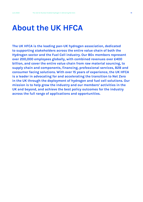## **About the UK HFCA**

**The UK HFCA is the leading pan-UK hydrogen association, dedicated to supporting stakeholders across the entire value chain of both the Hydrogen sector and the Fuel Cell industry. Our 80+ members represent over 200,000 employees globally, with combined revenues over £400 billion, and cover the entire value chain from raw material sourcing, to supply chain and components, financing, professional services, B2B and consumer facing solutions. With over 15 years of experience, the UK HFCA is a leader in advocating for and accelerating the transition to Net Zero in the UK through the deployment of hydrogen and fuel cell solutions. Our mission is to help grow the industry and our members' activities in the UK and beyond, and achieve the best policy outcomes for the industry across the full range of applications and opportunities.**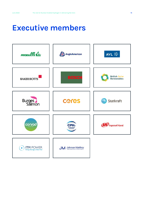## **Executive members**

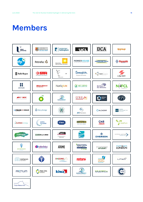## **Members**